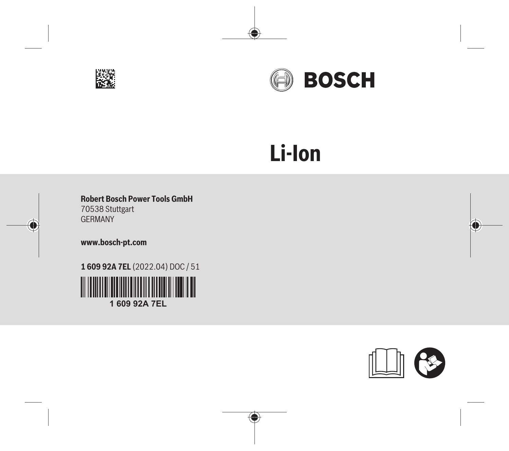



# **Li-Ion**

◈

**Robert Bosch Power Tools GmbH** 70538 Stuttgart GERMANY

**www.bosch-pt.com**

 $\hat{\mathbf{C}}$ 

**1 609 92A 7EL** (2022.04) DOC / 51



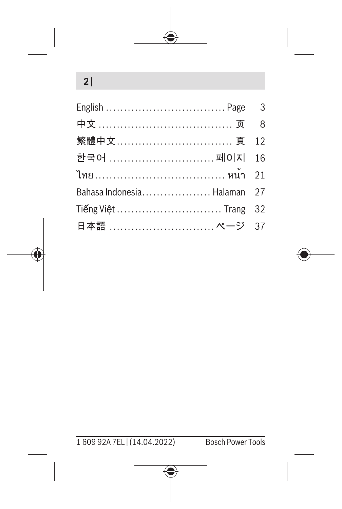## **2** |

| 繁體中文 頁 12                   |  |
|-----------------------------|--|
| 한국어 페이지 16                  |  |
| ไทย………………………………… หน้า 21    |  |
| Bahasa Indonesia Halaman 27 |  |
| Tiếng Việt  Trang 32        |  |
| 日本語  ページ 37                 |  |



1 609 92A 7EL | (14.04.2022) Bosch Power Tools

Ô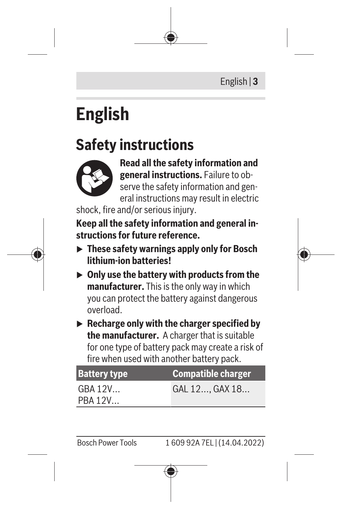# <span id="page-2-0"></span>**English**

## **Safety instructions**



**Read all the safety information and general instructions.** Failure to observe the safety information and general instructions may result in electric

shock, fire and/or serious injury.

**Keep all the safety information and general instructions for future reference.**

- ▶ These safety warnings apply only for Bosch **lithium-ion batteries!**
- ▶ Only use the battery with products from the **manufacturer.** This is the only way in which you can protect the battery against dangerous overload.
- ▶ Recharge only with the charger specified by **the manufacturer.** A charger that is suitable for one type of battery pack may create a risk of fire when used with another battery pack.

| <b>Battery type</b> | <b>Compatible charger</b> |
|---------------------|---------------------------|
| GBA 12V<br>PBA 12V  | GAL 12, GAX 18            |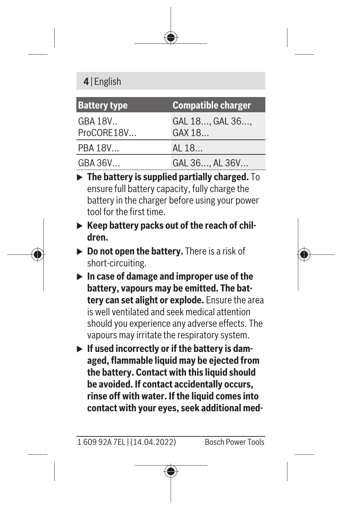### **4** | English

| <b>Battery type</b>   | <b>Compatible charger</b> |
|-----------------------|---------------------------|
| GBA 18V<br>ProCORE18V | GAL 18, GAL 36,<br>GAX 18 |
| PBA 18V               | AL 18                     |
| GBA 36V               | GAL 36, AL 36V            |

- **FREE** The battery is supplied partially charged. To ensure full battery capacity, fully charge the battery in the charger before using your power tool for the first time.
- ▶ Keep battery packs out of the reach of chil**dren.**
- ▶ **Do not open the battery.** There is a risk of short-circuiting.
- ▶ In case of damage and improper use of the **battery, vapours may be emitted. The battery can set alight or explode.** Ensure the area is well ventilated and seek medical attention should you experience any adverse effects. The vapours may irritate the respiratory system.
- **If used incorrectly or if the battery is damaged, flammable liquid may be ejected from the battery. Contact with this liquid should be avoided. If contact accidentally occurs, rinse off with water. If the liquid comes into contact with your eyes, seek additional med-**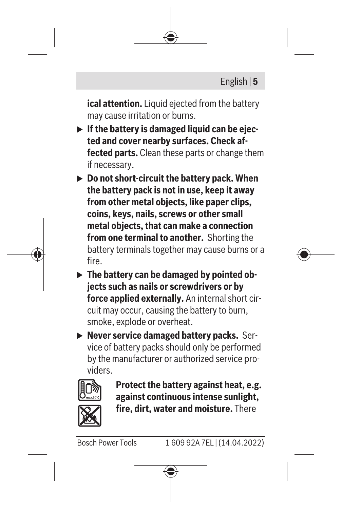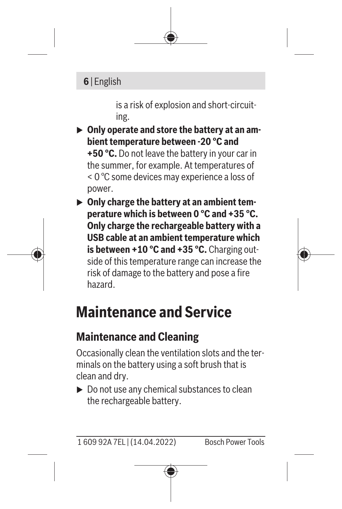#### **6** | English

is a risk of explosion and short-circuiting.

▶ Only operate and store the battery at an am**bient temperature between -20 °C and +50 °C.** Do not leave the battery in your car in the summer, for example. At temperatures of < 0 °C some devices may experience a loss of power.

▶ Only charge the battery at an ambient tem**perature which is between 0 °C and +35 °C. Only charge the rechargeable battery with a USB cable at an ambient temperature which is between +10 °C and +35 °C.** Charging outside of this temperature range can increase the risk of damage to the battery and pose a fire hazard.

# **Maintenance and Service**

## **Maintenance and Cleaning**

Occasionally clean the ventilation slots and the terminals on the battery using a soft brush that is clean and dry.

 $\triangleright$  Do not use any chemical substances to clean the rechargeable battery.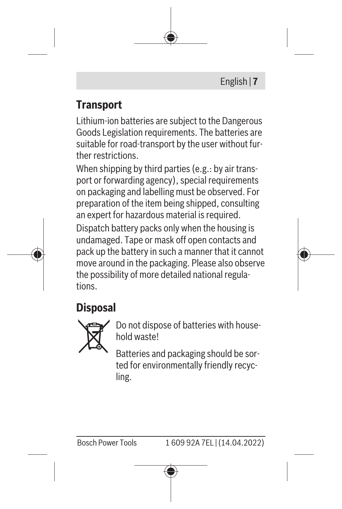

## **Transport**

Lithium-ion batteries are subject to the Dangerous Goods Legislation requirements. The batteries are suitable for road-transport by the user without further restrictions.

When shipping by third parties (e.g.: by air transport or forwarding agency), special requirements on packaging and labelling must be observed. For preparation of the item being shipped, consulting an expert for hazardous material is required.

Dispatch battery packs only when the housing is undamaged. Tape or mask off open contacts and pack up the battery in such a manner that it cannot move around in the packaging. Please also observe the possibility of more detailed national regulations.

## **Disposal**



Do not dispose of batteries with household waste!

Batteries and packaging should be sorted for environmentally friendly recycling.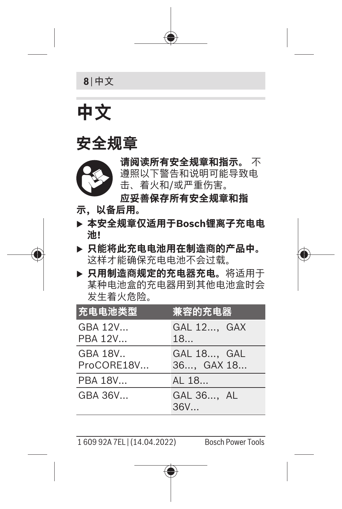

# <span id="page-7-0"></span>**中文**

## **安全规章**



**请阅读所有安全规章和指示。** 不 遵照以下警告和说明可能导致电 击、着火和/或严重伤害。

**应妥善保存所有安全规章和指**

- **示,以备后用。**
- ▶ 本安全规章仅适用于Bosch锂离子充电电 **池!**
- ▶ 只能将此充电电池用在制造商的产品中。 这样才能确保充电电池不会过载。
- ▶ 只用制造商规定的充电器充电。将适用于 某种电池盒的充电器用到其他电池盒时会 发生着火危险。

| 充电电池类型                | <u>兼容的充电器</u>            |
|-----------------------|--------------------------|
| GBA 12V<br>PBA 12V    | GAL 12, GAX<br>18        |
| GBA 18V<br>ProCORE18V | GAL 18, GAL<br>36 GAX 18 |
| PBA 18V               | AL 18                    |
| GRA 36V.              | GAL 36, AL<br>36V        |

1 609 92A 7EL | (14.04.2022) Bosch Power Tools

O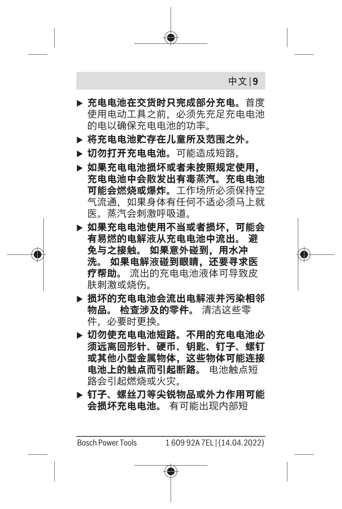中文 | **9**

- **▶ 充电电池在交货时只完成部分充电。**首度 使用电动工具之前,必须先充足充电电池 的电以确保充电电池的功率。
- **▶ 将充电电池贮存在儿童所及范围之外。**
- ▶ 切勿打开充电电池。可能造成短路。
- ▶ 如果充电电池损坏或者未按照规定使用。 **充电电池中会散发出有毒蒸汽。充电电池 可能会燃烧或爆炸。**工作场所必须保持空 气流通,如果身体有任何不适必须马上就 医。蒸汽会刺激呼吸道。
- **▶ 如果充电电池使用不当或者损坏,可能会 有易燃的电解液从充电电池中流出。 避 免与之接触。 如果意外碰到,用水冲 洗。 如果电解液碰到眼睛,还要寻求医 疗帮助。** 流出的充电电池液体可导致皮 肤刺激或烧伤。
- ▶ 损坏的充电电池会流出电解液并污染相邻 **物品。 检查涉及的零件。** 清洁这些零 件,必要时更换。
- ▶ 切勿使充电电池短路。不用的充电电**池**必 **须远离回形针、硬币、钥匙、钉子、螺钉 或其他小型金属物体,这些物体可能连接 电池上的触点而引起断路。** 电池触点短 路会引起燃烧或火灾。
- ▶ 钉子、螺丝刀等尖锐物品或外力作用可能 **会损坏充电电池。** 有可能出现内部短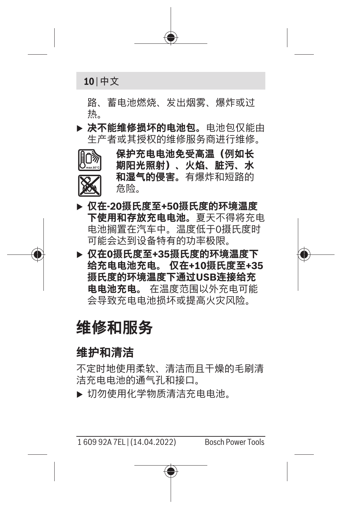

路、蓄电池燃烧、发出烟雾、爆炸或过 热。

▶ 决不能维修损坏的电池包。电池包仅能由 生产者或其授权的维修服务商进行维修。



**▶ 仅在-20摄氏度至+50摄氏度的环境温度 下使用和存放充电电池。**夏天不得将充电 电池搁置在汽车中。温度低于0摄氏度时 可能会达到设备特有的功率极限。

D <mark>仅在0摄氏度至+35摄氏度的环境温度下</mark><br> 给充电电池充电。 仅在+10摄氏度至+3 **给充电电池充电。 仅在+10摄氏度至+35 摄氏度的环境温度下通过USB连接给充 电电池充电。** 在温度范围以外充电可能 会导致充电电池损坏或提高火灾风险。

## **维修和服务**

#### **维护和清洁**

不定时地使用柔软、清洁而且干燥的毛刷清 洁充电电池的通气孔和接口。

▶ 切勿使用化学物质清洁充电电池。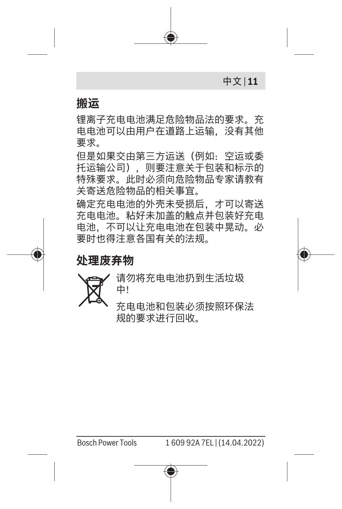中文 | **11**

#### **搬运**

锂离子充电电池满足危险物品法的要求。充 电电池可以由用户在道路上运输,没有其他 要求。

但是如果交由第三方运送(例如:空运或委 托运输公司),则要注意关于包装和标示的 特殊要求。此时必须向危险物品专家请教有 关寄送危险物品的相关事宜。

确定充电电池的外壳未受损后,才可以寄送 充电电池。粘好未加盖的触点并包装好充电 电池,不可以让充电电池在包装中晃动。必 要时也得注意各国有关的法规。

**处理废弃物**



请勿将充电电池扔到生活垃圾 中!

充电电池和包装必须按照环保法 规的要求进行回收。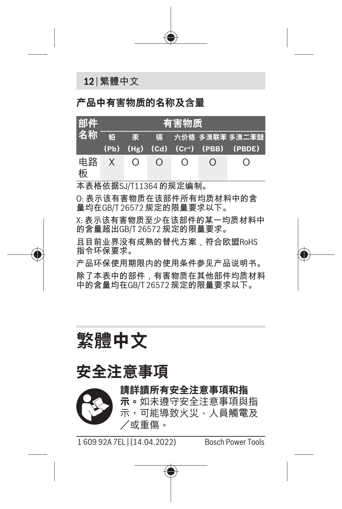**12** | 繁體中文

#### **产品中有害物质的名称及含量**

| 部件      | 有害物质     |                |        |          |          |                                                                          |
|---------|----------|----------------|--------|----------|----------|--------------------------------------------------------------------------|
|         |          |                |        |          |          | 名称 铅 汞 镉 六价铬 多溴联苯 多溴二苯醚<br>$(Pb)$ $(Hg)$ $(Cd)$ $(Cr6)$ $(PBB)$ $(PBDE)$ |
| 电路<br>板 | $\times$ | $\overline{O}$ | $\cap$ | $\Omega$ | $\Omega$ | $\left( \right)$                                                         |

本表格依据SJ/T11364 的规定编制。

O: 表示该有害物质在该部件所有均质材料中的含 量均在GB/T 26572 规定的限量要求以下。

X: 表示该有害物质至少在该部件的某一均质材料中 的含量超出GB/T 26572 规定的限量要求。

且目前业界没有成熟的替代方案,符合欧盟RoHS 指令环保要求。

产品环保使用期限内的使用条件参见产品说明书。 除了本表中的部件,有害物质在其他部件均质材料 中的含量均在GB/T 26572 规定的限量要求以下。

<span id="page-11-0"></span>**繁體中文**

## **安全注意事項**



**請詳讀所有安全注意事項和指 示。**如未遵守安全注意事項與指 示,可能導致火災、人員觸電及 /或重傷。

1 609 92A 7EL | (14.04.2022) Bosch Power Tools

Ô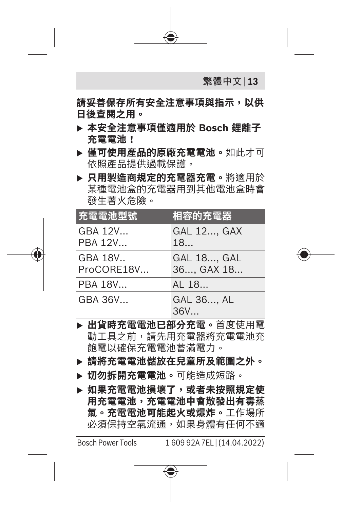

**用充電電池,充電電池中會散發出有毒蒸 氣。充電電池可能起火或爆炸。**工作場所 必須保持空氣流通,如果身體有任何不適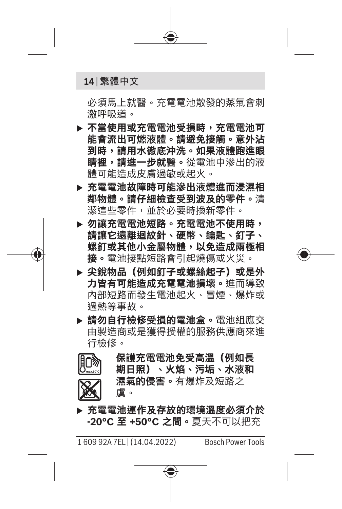#### **14** | 繁體中文

必須馬上就醫。充電電池散發的蒸氣會刺 激呼吸道。

- **▶ 不當使用或充電電池受損時,充電電池可 能會流出可燃液體。請避免接觸。意外沾 到時,請用水徹底沖洗。如果液體跑進眼 睛裡,請進一步就醫。**從電池中滲出的液 體可能造成皮膚過敏或起火。
- ▶ 充電電池故障時可能滲出液體進而浸濕相 **鄰物體。請仔細檢查受到波及的零件。**清 潔這些零件,並於必要時換新零件。
- ▶ 勿讓充電電池短路。充電電池不使用時, **請讓它遠離迴紋針、硬幣、鑰匙、釘子、 螺釘或其他小金屬物體,以免造成兩極相 接。**電池接點短路會引起燒傷或火災。
- ▶ 尖銳物品 (例如釘子或螺絲起子) 或是外 **力皆有可能造成充電電池損壞。**進而導致 內部短路而發生電池起火、冒煙、爆炸或 過熱等事故。
- u **請勿自行檢修受損的電池盒。**電池組應交 由製造商或是獲得授權的服務供應商來進 行檢修。
- **保護充電電池免受高溫(例如長**
- 

**期日照)、火焰、污垢、水液和 濕氣的侵害。**有爆炸及短路之 虞。

▶ 充電電池運作及存放的環境溫度必須介於 **-20°C 至 +50°C 之間。**夏天不可以把充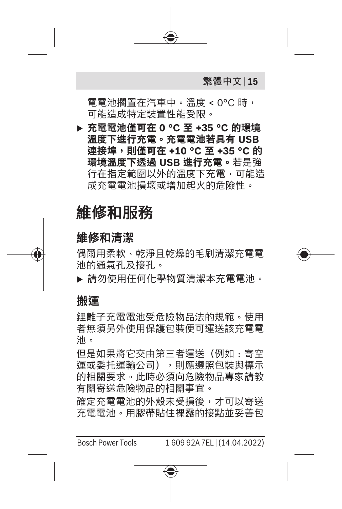

電電池擱置在汽車中。溫度 < 0°C 時, 可能造成特定裝置性能受限。

u **充電電池僅可在 0 °C 至 +35 °C 的環境 溫度下進行充電。充電電池若具有 USB 連接埠,則僅可在 +10 °C 至 +35 °C 的 環境溫度下透過 USB 進行充電。**若是強 行在指定範圍以外的溫度下充電,可能造 成充電電池損壞或增加起火的危險性。

## **維修和服務**

#### **維修和清潔**

偶爾用柔軟、乾淨且乾燥的毛刷清潔充電電 池的通氣孔及接孔。

u 請勿使用任何化學物質清潔本充電電池。

#### **搬運**

鋰離子充電電池受危險物品法的規範。使用 者無須另外使用保護包裝便可運送該充電電 池。

但是如果將它交由第三者運送(例如:寄空 運或委托運輸公司),則應遵照包裝與標示 的相關要求。此時必須向危險物品專家請教 有關寄送危險物品的相關事宜。

確定充電電池的外殼未受損後,才可以寄送 充電電池。用膠帶貼住裸露的接點並妥善包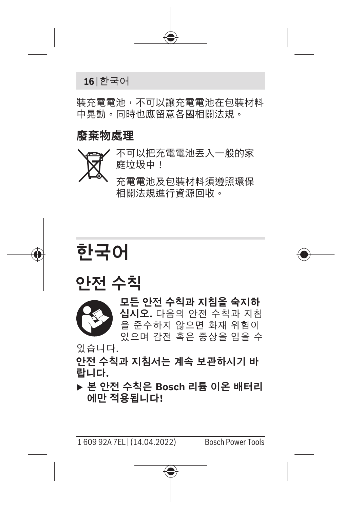

裝充電電池,不可以讓充電電池在包裝材料 中晃動。同時也應留意各國相關法規。

#### **廢棄物處理**



充電電池及包裝材料須遵照環保 相關法規進行資源回收。

# <span id="page-15-0"></span>**한국어**

## **안전 수칙**



**모든 안전 수칙과 지침을 숙지하 십시오.** 다음의 안전 수칙과 지침 을 준수하지 않으면 화재 위험이 있으며 감전 혹은 중상을 입을 수

있습니다.

**안전 수칙과 지침서는 계속 보관하시기 바 랍니다.**

u **본 안전 수칙은 Bosch 리튬 이온 배터리 에만 적용됩니다!**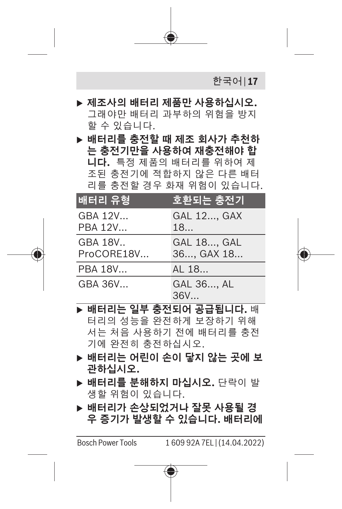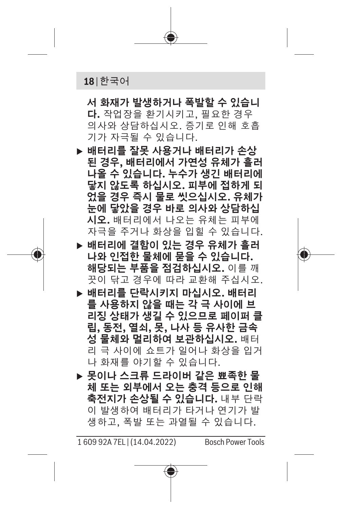#### **18** | 한국어

**서 화재가 발생하거나 폭발할 수 있습니 다.** 작업장을 환기시키고, 필요한 경우 의사와 상담하십시오. 증기로 인해 호흡 기가 자극될 수 있습니다.

- ▶ 배터리를 잘못 사용거나 배터리가 손상 **된 경우, 배터리에서 가연성 유체가 흘러 나올 수 있습니다. 누수가 생긴 배터리에 닿지 않도록 하십시오. 피부에 접하게 되 었을 경우 즉시 물로 씻으십시오. 유체가 눈에 닿았을 경우 바로 의사와 상담하십 시오.** 배터리에서 나오는 유체는 피부에 자극을 주거나 화상을 입힐 수 있습니다.
- u **배터리에 결함이 있는 경우 유체가 흘러 나와 인접한 물체에 묻을 수 있습니다. 해당되는 부품을 점검하십시오.** 이를 깨 끗이 닦고 경우에 따라 교환해 주십시오.
- u **배터리를 단락시키지 마십시오. 배터리 를 사용하지 않을 때는 각 극 사이에 브 리징 상태가 생길 수 있으므로 페이퍼 클 립, 동전, 열쇠, 못, 나사 등 유사한 금속 성 물체와 멀리하여 보관하십시오.** 배터 리 극 사이에 쇼트가 일어나 화상을 입거 나 화재를 야기할 수 있습니다.
- ▶ 못이나 스크류 드라이버 같은 뾰족한 <del>물</del> **체 또는 외부에서 오는 충격 등으로 인해 축전지가 손상될 수 있습니다.** 내부 단락 이 발생하여 배터리가 타거나 연기가 발 생하고, 폭발 또는 과열될 수 있습니다.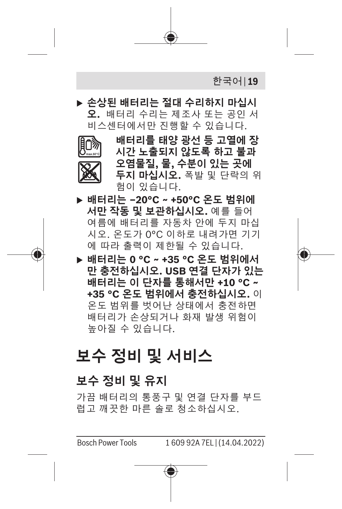

▶ 손상된 배터리는 절대 수리하지 마십시 **오.** 배터리 수리는 제조사 또는 공인 서 비스센터에서만 진행할 수 있습니다.



**배터리를 태양 광선 등 고열에 장 시간 노출되지 않도록 하고 불과 오염물질, 물, 수분이 있는 곳에 두지 마십시오.** 폭발 및 단락의 위 험이 있습니다.

- u **배터리는 –20°C ~ +50°C 온도 범위에 서만 작동 및 보관하십시오.** 예를 들어 여름에 배터리를 자동차 안에 두지 마십 시오. 온도가 0°C 이하로 내려가면 기기 에 따라 출력이 제한될 수 있습니다.
- u **배터리는 0 °C ~ +35 °C 온도 범위에서 만 충전하십시오. USB 연결 단자가 있는 배터리는 이 단자를 통해서만 +10 °C ~ +35 °C 온도 범위에서 충전하십시오.** 이 온도 범위를 벗어난 상태에서 충전하면 배터리가 손상되거나 화재 발생 위험이 높아질 수 있습니다.

## **보수 정비 및 서비스**

### **보수 정비 및 유지**

가끔 배터리의 통풍구 및 연결 단자를 부드 럽고 깨끗한 마른 솔로 청소하십시오.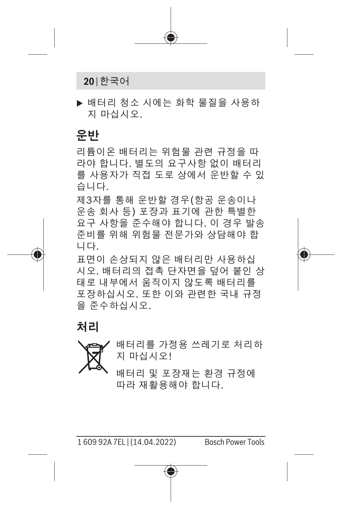

u 배터리 청소 시에는 화학 물질을 사용하 지 마십시오.

#### **운반**

리튬이온 배터리는 위험물 관련 규정을 따 라야 합니다. 별도의 요구사항 없이 배터리 를 사용자가 직접 도로 상에서 운반할 수 있 습니다.

제3자를 통해 운반할 경우(항공 운송이나 운송 회사 등) 포장과 표기에 관한 특별한 요구 사항을 준수해야 합니다. 이 경우 발송 준비를 위해 위험물 전문가와 상담해야 합 니다.

표면이 손상되지 않은 배터리만 사용하십 시오. 배터리의 접촉 단자면을 덮어 붙인 상 태로 내부에서 움직이지 않도록 배터리를 포장하십시오. 또한 이와 관련한 국내 규정 을 준수하십시오.

**처리**



배터리를 가정용 쓰레기로 처리하 지 마십시오!

배터리 및 포장재는 환경 규정에 따라 재활용해야 합니다.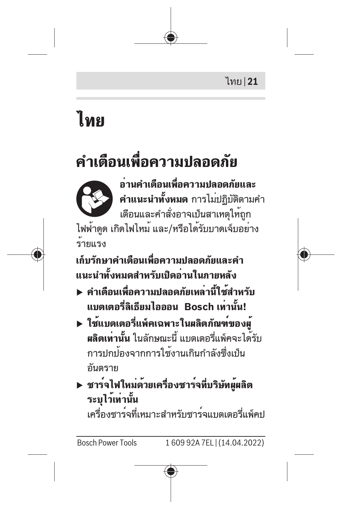

# <span id="page-20-0"></span>**ไทย**

# **คำเตือนเพื่อความปลอดภัย**



**อ่านคำเตือนเพื่อความปลอดภัยและ คำแนะนำทั้งหมด** การไม่ปฏิบัติตามคำ เตือนและคำสั่งอาจเป็นสาเหตุให้ถูก ไฟฟ้าดูด เกิดไฟไหม้ และ/หรือได้รับบาดเจ็บอย่าง

ร้ายแรง

**เก็บรักษาคำเตือนเพื่อความปลอดภัยและคำ แนะนำทั้งหมดสำหรับเปิดอ่านในภายหลัง**

- u **คำเตือนเพื่อความปลอดภัยเหล่านี้ใช้สำหรับ แบตเตอรี่ลิเธียมไอออน Bosch เท่านั้น!**
- u **ใช้แบตเตอรี่แพ็คเฉพาะในผลิตภัณฑ์ของผู้ ผลิตเท่านั้น** ในลักษณะนี้ แบตเตอรี่แพ็คจะได้รับ การปกป้องจากการใช้งานเกินกำลังซึ่งเป็น อันตราย
- u **ชาร์จไฟใหม่ด้วยเครื่องชาร์จที่บริษัทผู้ผลิต ระบุไว้เท่านั้น** เครื่องชาร์จที่เหมาะสำหรับชาร์จแบตเตอรี่แพ็คป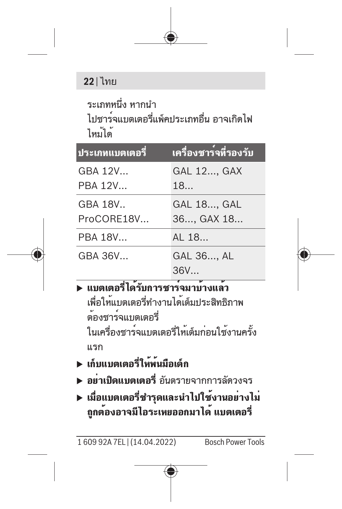### **22** | ไทย

ระเภทหนึ่ง หากนำ ไปชาร์จแบตเตอรี่แพ็คประเภทอื่น อาจเกิดไฟ ไหม้ได้

| <u>ีประเภทแบตเตอรี</u> | ้เครื่องชาร <sup>์</sup> จที่รองรับ |
|------------------------|-------------------------------------|
| GBA 12V                | <b>GAL 12, GAX</b>                  |
| PBA 12V                | 18                                  |
| GBA 18V                | GAL 18, GAL                         |
| ProCORE18V             | 36 GAX 18                           |
| PBA 18V                | AL 18                               |
| GBA 36V                | GAL 36, AL                          |
|                        | 36V                                 |
|                        |                                     |

### u **แบตเตอรี่ได้รับการชาร์จมาบ้างแล้ว** เพื่อให้แบตเตอรี่ทำงานได้เต็มประสิทธิภาพ

ต้องชาร์จแบตเตอรี่ ในเครื่องชาร์จแบตเตอรี่ให้เต็มก่อนใช้งานครั้ง แรก

- u **เก็บแบตเตอรี่ให้พ้นมือเด็ก**
- u **อย่าเปิดแบตเตอรี่** อันตรายจากการลัดวงจร
- u **เมื่อแบตเตอรี่ชำรุดและนำไปใช้งานอย่างไม่ ถูกต้องอาจมีไอระเหยออกมาได้ แบตเตอรี่**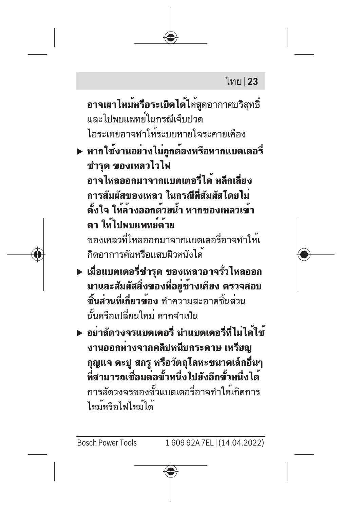### ไทย | **23**

**อาจเผาไหม<b>์หรือระเบิดได**้ให้สุดอากาศบริสุทธิ์ และไปพบแพทย์ใบกรณีเจ็บปวด ไอระเหยอาจทำให้ระบบหายใจระคายเคือง

u **หากใช้งานอย่างไม่ถูกต้องหรือหากแบตเตอรี่ ชำรุด ของเหลวไวไฟ อาจไหลออกมาจากแบตเตอรี่ได้ หลีกเลี่ยง การสัมผัสของเหลว ในกรณีที่สัมผัสโดยไม่ ตั้งใจ ให้ล้างออกด้วยน้ำ หากของเหลวเข้า ตา ให้ไปพบแพทย์ด้วย** ของเหลวที่ไหลออกมาจากแบตเตอรี่อาจทำให้เ กิดอาการคันหรือแสบผิวหนังได้

- u **เมื่อแบตเตอรี่ชำรุด ของเหลวอาจรั่วไหลออก มาและสัมผัสสิ่งของที่อยู่ข้างเคียง ตรวจสอบ ชิ้นส่วนที่เกี่ยวข้อง** ทำความสะอาดชิ้นส่วน นั้นหรือเปลี่ยนใหม่ หากจำเป็น
- u **อย่าลัดวงจรแบตเตอรี่ นำแบตเตอรี่ที่ไม่ได้ใช้ งานออกห่างจากคลิปหนีบกระดาษ เหรียญ กุญแจ ตะปู สกรู หรือวัตถุโลหะขนาดเล็กอื่นๆ ที่สามารถเชื่อมต่อขั้วหนึ่งไปยังอีกขั้วหนึ่งได้** การลัดวงจรของขั้วแบตเตอรี่อาจทำให้เกิดการ ไหม้หรือไฟไหม้ได้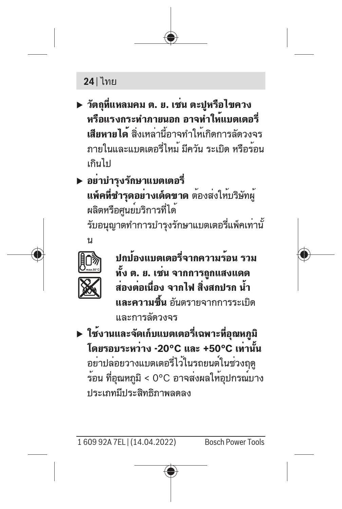## **24** | ไทย

- u **วัตถุที่แหลมคม ต. ย. เช่น ตะปูหรือไขควง หรือแรงกระทำภายนอก อาจทำให้แบตเตอรี่ เสียหายได้** สิ่งเหล่านี้อาจทำให้เกิดการลัดวงจร ภายในและแบตเตอรี่ไหม้ มีควัน ระเบิด หรือร้อน เกินไป
- u **อย่าบำรุงรักษาแบตเตอรี่ แพ็คที่ชำรุดอย่างเด็ดขาด** ต้องส่งให้บริษัทผู้ ผลิตหรือศูนย์บริการที่ได้ รับอนุญาตทำการบำรุงรักษาแบตเตอรี่แพ็คเท่านั้



**ปกป้องแบตเตอรี่จากความร้อน รวม ทั้ง ต. ย. เช่น จากการถูกแสงแดด ส่องต่อเนื่อง จากไฟ สิ่งสกปรก น้ำ และความชื้น** อันตรายจากการระเบิด และการลัดวงจร

u **ใช้งานและจัดเก็บแบตเตอรี่เฉพาะที่อุณหภูมิ โดยรอบระหว่าง -20°C และ +50°C เท่านั้น** อย่าปล่อยวางแบตเตอรี่ไว้ในรถยนต์ในช่วงฤดู ร้อน ที่อุณหภูมิ < 0°C อาจส่งผลให้อุปกรณ์บาง ประเภทมีประสิทธิภาพลดลง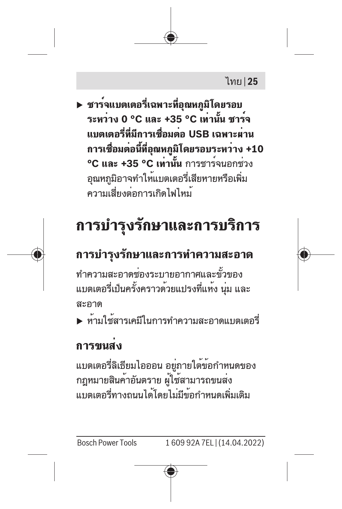### ไทย | **25**

u **ชาร์จแบตเตอรี่เฉพาะที่อุณหภูมิโดยรอบ ระหว่าง 0 °C และ +35 °C เท่านั้น ชาร์จ แบตเตอรี่ที่มีการเชื่อมต่อ USB เฉพาะผ่าน การเชื่อมต่อนี้ที่อุณหภูมิโดยรอบระหว่าง +10 °C และ +35 °C เท่านั้น** การชาร์จนอกช่วง อุณหภูมิอาจทำให้แบตเตอรี่เสียหายหรือเพิ่ม ความเสี่ยงต่อการเกิดไฟไหม้

# **การบำรุงรักษาและการบริการ**

## **การบำรุงรักษาและการทำความสะอาด**

ทำความสะอาดช่องระบายอากาศและขั้วของ แบตเตอรี่เป็นครั้งคราวด้วยแปรงที่แห้ง นุ่ม และ สะอาด

u ห้ามใช้สารเคมีในการทำความสะอาดแบตเตอรี่

#### **การขนส่ง**

แบตเตอรี่ลิเธียมไอออน อยู่ภายใต้ข้อกำหนดของ กฎหมายสินค้าอันตราย ผู้ใช้สามารถขนส่ง แบตเตอรี่ทางถนนได้โดยไม่มีข้อกำหนดเพิ่มเติม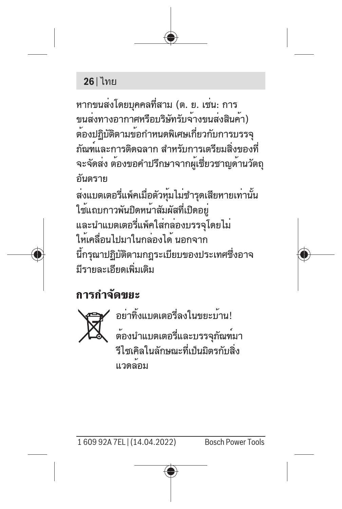### **26** | ไทย

หากขนส่งโดยบุคคลที่สาม (ต. ย. เช่น: การ ขนส่งทางอากาศหรือบริษัทรับจ้างขนส่งสินค้า) ต้องปฏิบัติตามข้อกำหนดพิเศษเกี่ยวกับการบรรจุ ภัณฑ์และการติดฉลาก สำหรับการเตรียมสิ่งของที่ จะจัดส่ง ต้องขอคำปรึกษาจากผู้เชี่ยวชาญด้านวัตถุ อันตราย ส่งแบตเตอรี่แพ็คเมื่อตัวหุ้มไม่ชำรุดเสียหายเท่านั้น ใช้แถบกาวพันปิดหน้าสัมผัสที่เปิดอยู่ และนำแบตเตอรี่แพ็คใส่กล่องบรรจุโดยไม่ ให้เคลื่อนไปมาในกล่องได้ นอกจาก นี้กรุณาปฏิบัติตามกฎระเบียบของประเทศซึ่งอาจ มีรายละเอียดเพิ่มเติม

## **การกำจัดขยะ**



อย่าทิ้งแบตเตอรี่ลงในขยะบ้าน! ต้องนำแบตเตอรี่และบรรจุภัณฑ์มา รีไซเคิลในลักษณะที่เป็นมิตรกับสิ่ง แวดล้อม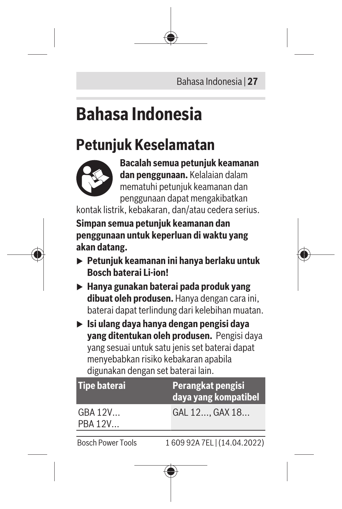Bahasa Indonesia | **27**

# <span id="page-26-0"></span>**Bahasa Indonesia**

## **Petunjuk Keselamatan**



**Bacalah semua petunjuk keamanan dan penggunaan.** Kelalaian dalam mematuhi petunjuk keamanan dan penggunaan dapat mengakibatkan

kontak listrik, kebakaran, dan/atau cedera serius.

**Simpan semua petunjuk keamanan dan penggunaan untuk keperluan di waktu yang akan datang.**

- u **Petunjuk keamanan ini hanya berlaku untuk Bosch baterai Li-ion!**
- u **Hanya gunakan baterai pada produk yang dibuat oleh produsen.** Hanya dengan cara ini, baterai dapat terlindung dari kelebihan muatan.
- u **Isi ulang daya hanya dengan pengisi daya yang ditentukan oleh produsen.** Pengisi daya yang sesuai untuk satu jenis set baterai dapat menyebabkan risiko kebakaran apabila digunakan dengan set baterai lain.

| <b>Tipe baterai</b> | Perangkat pengisi<br>daya yang kompatibel |
|---------------------|-------------------------------------------|
| GBA 12V<br>PBA 12V  | GAL 12 GAX 18                             |
|                     |                                           |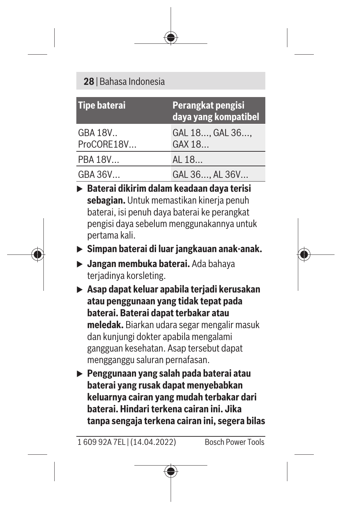#### **28** | Bahasa Indonesia

| <b>Tipe baterai</b>    | Perangkat pengisi<br>daya yang kompatibel |
|------------------------|-------------------------------------------|
| GBA 18V.<br>ProCORE18V | GAL 18, GAL 36,<br>GAX 18                 |
| PBA 18V                | AL 18                                     |
| GBA 36V                | GAL 36, AL 36V                            |

- u **Baterai dikirim dalam keadaan daya terisi sebagian.** Untuk memastikan kinerja penuh baterai, isi penuh daya baterai ke perangkat pengisi daya sebelum menggunakannya untuk pertama kali.
- u **Simpan baterai di luar jangkauan anak-anak.**
- u **Jangan membuka baterai.** Ada bahaya teriadinya korsleting.
- u **Asap dapat keluar apabila terjadi kerusakan atau penggunaan yang tidak tepat pada baterai. Baterai dapat terbakar atau meledak.** Biarkan udara segar mengalir masuk dan kunjungi dokter apabila mengalami gangguan kesehatan. Asap tersebut dapat mengganggu saluran pernafasan.
- u **Penggunaan yang salah pada baterai atau baterai yang rusak dapat menyebabkan keluarnya cairan yang mudah terbakar dari baterai. Hindari terkena cairan ini. Jika tanpa sengaja terkena cairan ini, segera bilas**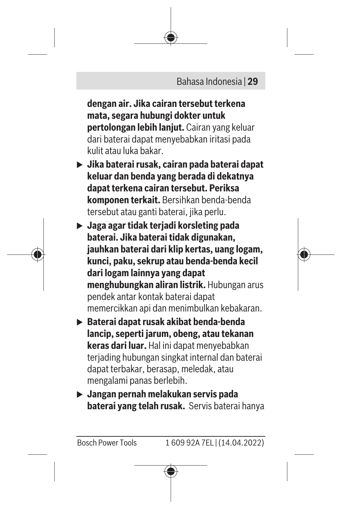

**dengan air. Jika cairan tersebut terkena mata, segara hubungi dokter untuk pertolongan lebih lanjut.** Cairan yang keluar dari baterai dapat menyebabkan iritasi pada kulit atau luka bakar.

- u **Jika baterai rusak, cairan pada baterai dapat keluar dan benda yang berada di dekatnya dapat terkena cairan tersebut. Periksa komponen terkait.** Bersihkan benda-benda tersebut atau ganti baterai, jika perlu.
- u **Jaga agar tidak terjadi korsleting pada baterai. Jika baterai tidak digunakan, jauhkan baterai dari klip kertas, uang logam, kunci, paku, sekrup atau benda-benda kecil dari logam lainnya yang dapat menghubungkan aliran listrik.** Hubungan arus pendek antar kontak baterai dapat memercikkan api dan menimbulkan kebakaran.
- u **Baterai dapat rusak akibat benda-benda lancip, seperti jarum, obeng, atau tekanan keras dari luar.** Hal ini dapat menyebabkan terjading hubungan singkat internal dan baterai dapat terbakar, berasap, meledak, atau mengalami panas berlebih.
- u **Jangan pernah melakukan servis pada baterai yang telah rusak.** Servis baterai hanya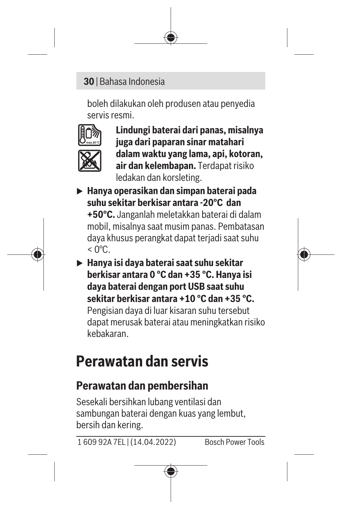#### **30** | Bahasa Indonesia

boleh dilakukan oleh produsen atau penyedia servis resmi.



**Lindungi baterai dari panas, misalnya juga dari paparan sinar matahari dalam waktu yang lama, api, kotoran, air dan kelembapan.** Terdapat risiko ledakan dan korsleting.

u **Hanya operasikan dan simpan baterai pada suhu sekitar berkisar antara -20°C dan**

**+50°C.** Janganlah meletakkan baterai di dalam mobil, misalnya saat musim panas. Pembatasan daya khusus perangkat dapat terjadi saat suhu  $<$  0°C.

u **Hanya isi daya baterai saat suhu sekitar berkisar antara 0 °C dan +35 °C. Hanya isi daya baterai dengan port USB saat suhu sekitar berkisar antara +10 °C dan +35 °C.** Pengisian daya di luar kisaran suhu tersebut dapat merusak baterai atau meningkatkan risiko

kebakaran.

## **Perawatan dan servis**

## **Perawatan dan pembersihan**

Sesekali bersihkan lubang ventilasi dan sambungan baterai dengan kuas yang lembut, bersih dan kering.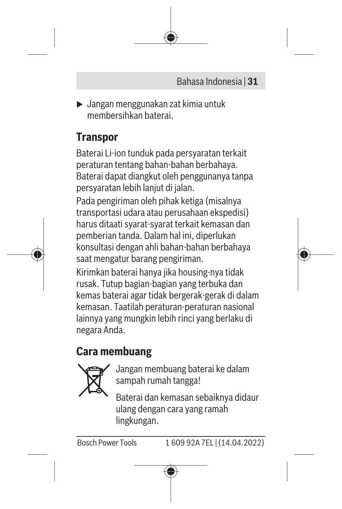

 $\blacktriangleright$  Jangan menggunakan zat kimia untuk membersihkan baterai.

## **Transpor**

Baterai Li-ion tunduk pada persyaratan terkait peraturan tentang bahan-bahan berbahaya. Baterai dapat diangkut oleh penggunanya tanpa persyaratan lebih lanjut di jalan.

Pada pengiriman oleh pihak ketiga (misalnya transportasi udara atau perusahaan ekspedisi) harus ditaati syarat-syarat terkait kemasan dan pemberian tanda. Dalam hal ini, diperlukan konsultasi dengan ahli bahan-bahan berbahaya saat mengatur barang pengiriman.

Kirimkan baterai hanya jika housing-nya tidak rusak. Tutup bagian-bagian yang terbuka dan kemas baterai agar tidak bergerak-gerak di dalam kemasan. Taatilah peraturan-peraturan nasional lainnya yang mungkin lebih rinci yang berlaku di negara Anda.

## **Cara membuang**



Jangan membuang baterai ke dalam sampah rumah tangga!

Baterai dan kemasan sebaiknya didaur ulang dengan cara yang ramah lingkungan.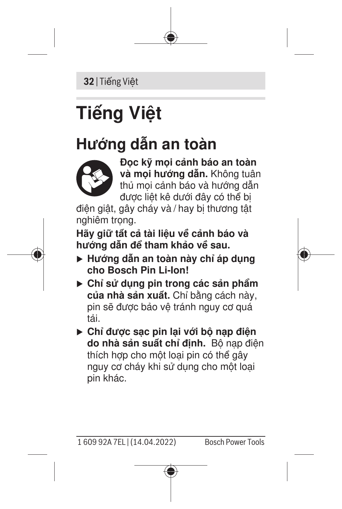**32** | Tiếng Việt

# <span id="page-31-0"></span>**Tiếng Việt**

# **Hướng dẫn an toàn**



**Đọc kỹ mọi cảnh báo an toàn và mọi hướng dẫn.** Không tuân thủ mọi cảnh báo và hướng dẫn được liệt kê dưới đây có thể bị

điện giật, gây cháy và / hay bị thương tật nghiêm trong.

**Hãy giữ tất cả tài liệu về cảnh báo và hướng dẫn để tham khảo về sau.**

- u **Hướng dẫn an toàn này chỉ áp dụng cho Bosch Pin Li-Ion!**
- u **Chỉ sử dụng pin trong các sản phẩm của nhà sản xuất.** Chỉ bằng cách này, pin sẽ được bảo vệ tránh nguy cơ quá tải.
- u **Chỉ được sạc pin lại với bộ nạp điện do nhà sản suất chỉ định.** Bộ nạp điện thích hợp cho một loại pin có thể gây nguy cơ cháy khi sử dụng cho một loại pin khác.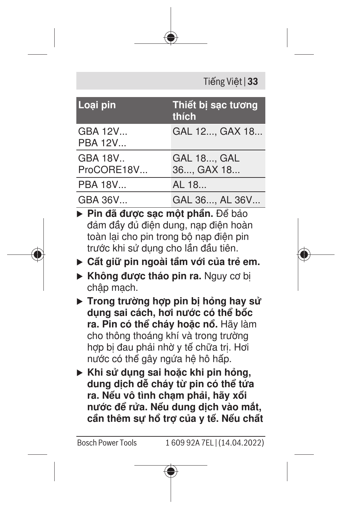| Tiếng Việt   33 |  |  |
|-----------------|--|--|
|-----------------|--|--|

| Loai pin                  | Thiết bi sac tương<br>thích      |
|---------------------------|----------------------------------|
| GBA 12V<br><b>PBA 12V</b> | GAL 12, GAX 18                   |
| GBA 18V<br>ProCORE18V     | <b>GAL 18, GAL</b><br>36, GAX 18 |
| PBA 18V                   | AL 18                            |
| GBA 36V                   | GAL 36, AL 36V                   |

u **Pin đã được sạc một phần.** Để bảo đảm đầy đủ điện dung, nạp điện hoàn toàn lại cho pin trong bộ nạp điện pin trước khi sử dụng cho lần đầu tiên.

- u **Cất giữ pin ngoài tầm với của trẻ em.**
- **Không được tháo pin ra.** Nguy cơ bi chập mạch.
- $\triangleright$  Trong trường hợp pin bị hỏng hay sử **dụng sai cách, hơi nước có thể bốc ra. Pin có thể cháy hoặc nổ.** Hãy làm cho thông thoáng khí và trong trường hợp bị đau phải nhờ y tế chữa trị. Hợi nước có thể gây ngứa hệ hô hấp.
- u **Khi sử dụng sai hoặc khi pin hỏng, dung dịch dễ cháy từ pin có thể tứa ra. Nếu vô tình chạm phải, hãy xối nước để rửa. Nếu dung dịch vào mắt, cần thêm sự hổ trợ của y tế. Nếu chất**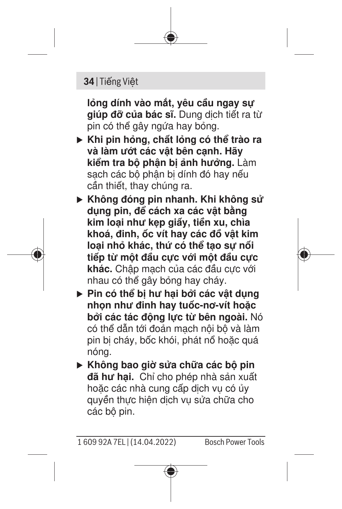#### **34** | Tiếng Việt

**lỏng dính vào mắt, yêu cầu ngay sự giúp đỡ của bác sĩ.** Dung dịch tiết ra từ pin có thể gây ngứa hay bỏng.

- u **Khi pin hỏng, chất lỏng có thể trào ra và làm ướt các vật bên cạnh. Hãy kiểm tra bộ phận bị ảnh hưởng.** Làm sạch các bộ phận bị dính đó hay nếu cần thiết, thay chúng ra.
- ► Không đóng pin nhanh. Khi không sử **dụng pin, để cách xa các vật bằng kim loại như kẹp giấy, tiền xu, chìa khoá, đinh, ốc vít hay các đồ vật kim loại nhỏ khác, thứ có thể tạo sự nối tiếp từ một đầu cực với một đầu cực khác.** Chập mạch của các đầu cực với nhau có thể gây bỏng hay cháy.
- u **Pin có thể bị hư hại bởi các vật dụng nhọn như đinh hay tuốc-nơ-vít hoặc bởi các tác động lực từ bên ngoài.** Nó có thể dẫn tới đoản mạch nội bộ và làm pin bị cháy, bốc khói, phát nổ hoặc quá nóng.
- u **Không bao giờ sửa chữa các bộ pin đã hư hại.** Chỉ cho phép nhà sản xuất hoặc các nhà cung cấp dịch vụ có ủy quyền thực hiện dịch vụ sửa chữa cho các bộ pin.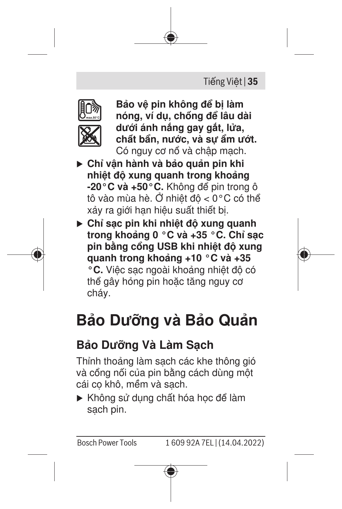



**Bảo vệ pin không để bị làm nóng, ví dụ, chống để lâu dài dưới ánh nắng gay gắt, lửa, chất bẩn, nước, và sự ẩm ướt.** Có nguy cơ nổ và chập mạch.

- ► Chỉ vận hành và bảo quản pin khi **nhiệt độ xung quanh trong khoảng -20°C và +50°C.** Không để pin trong ô tô vào mùa hè. Ở nhiệt độ < 0°C có thể xảy ra giới hạn hiệu suất thiết bị.
- u **Chỉ sạc pin khi nhiệt độ xung quanh trong khoảng 0 °C và +35 °C. Chỉ sạc pin bằng cổng USB khi nhiệt độ xung quanh trong khoảng +10 °C và +35 °C.** Việc sạc ngoài khoảng nhiệt độ có thể gây hỏng pin hoặc tăng nguy cơ cháy.

# **Bảo Dưỡng và Bảo Quản**

## **Bảo Dưỡng Và Làm Sạch**

Thỉnh thoảng làm sạch các khe thông gió và cổng nối của pin bằng cách dùng một cái cọ khô, mềm và sạch.

Không sử dụng chất hóa học để làm sạch pin.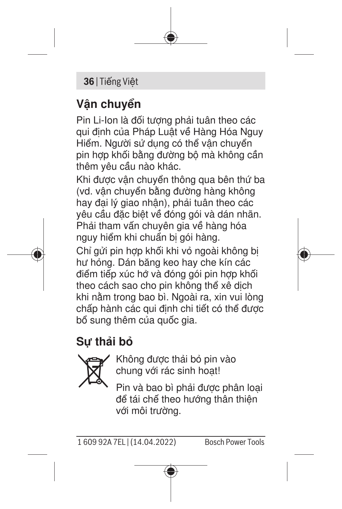#### **36** | Tiếng Việt

## **Vận chuyển**

Pin Li-Ion là đối tượng phải tuân theo các qui định của Pháp Luật về Hàng Hóa Nguy Hiểm. Người sử dụng có thể vận chuyển pin hợp khối bằng đường bộ mà không cần thêm yêu cầu nào khác.

Khi được vận chuyển thông qua bên thứ ba (vd. vận chuyển bằng đường hàng không hay đại lý giao nhận), phải tuân theo các yêu cầu đặc biệt về đóng gói và dán nhãn. Phải tham vấn chuyên gia về hàng hóa nguy hiểm khi chuẩn bị gói hàng.

Chỉ gửi pin hợp khối khi vỏ ngoài không bị hư hỏng. Dán băng keo hay che kín các điểm tiếp xúc hở và đóng gói pin hợp khối theo cách sao cho pin không thể xê dịch khi nằm trong bao bì. Ngoài ra, xin vui lòng chấp hành các qui định chi tiết có thể được bổ sung thêm của quốc gia.

## **Sự thải bỏ**



Không được thải bỏ pin vào chung với rác sinh hoạt!

Pin và bao bì phải được phân loại để tái chế theo hướng thân thiện với môi trường.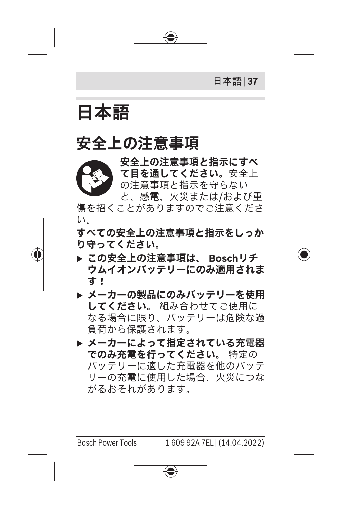日本語 | **37**

<span id="page-36-0"></span>**日本語**

## **安全上の注意事項**

**安全上の注意事項と指示にすべ て目を通してください。**安全上 の注意事項と指示を守らない と、感電、火災または/および重 傷を招くことがありますのでご注意くださ い。

**すべての安全上の注意事項と指示をしっか り守ってください。**

- **▶ この安全上の注意事項は、 Boschリチ ウムイオンバッテリーにのみ適用されま す!**
- **▶ メーカーの製品にのみバッテリーを使用 してください。** 組み合わせてご使用に なる場合に限り、バッテリーは危険な過 負荷から保護されます。
- **▶ メーカーによって指定されている充電器 でのみ充電を行ってください。** 特定の バッテリーに適した充電器を他のバッテ リーの充電に使用した場合、火災につな がるおそれがあります。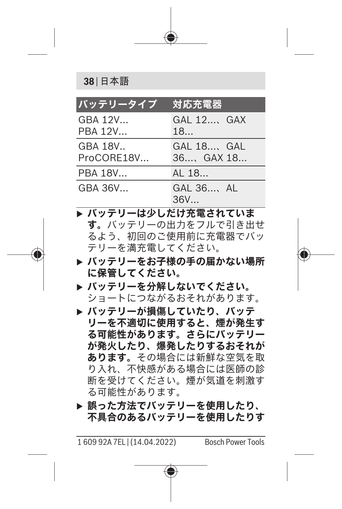**38** | 日本語

| バッテリータイプ              | 対応充電器                        |
|-----------------------|------------------------------|
| GBA 12V<br>PBA 12V    | GAL 12, GAX<br>18            |
| GBA 18V<br>ProCORE18V | GAL 18, GAL<br>$36$ GAX $18$ |
| PBA 18V               | AI 18                        |
| GBA 36V               | $GAI$ $36$ AL<br>36V         |

- **▶ バッテリーは少しだけ充電されていま す。**バッテリーの出力をフルで引き出せ るよう、初回のご使用前に充電器でバッ テリーを満充電してください。
- **▶ バッテリーをお子様の手の届かない場所 に保管してください。**
- **▶ バッテリーを分解しないでください。** ショートにつながるおそれがあります。
- **▶ バッテリーが損傷していたり、バッテ リーを不適切に使用すると、煙が発生す る可能性があります。さらにバッテリー が発火したり、爆発したりするおそれが あります。**その場合には新鮮な空気を取 り入れ、不快感がある場合には医師の診 断を受けてください。煙が気道を刺激す る可能性があります。
- **▶ 誤った方法でバッテリーを使用したり、 不具合のあるバッテリーを使用したりす**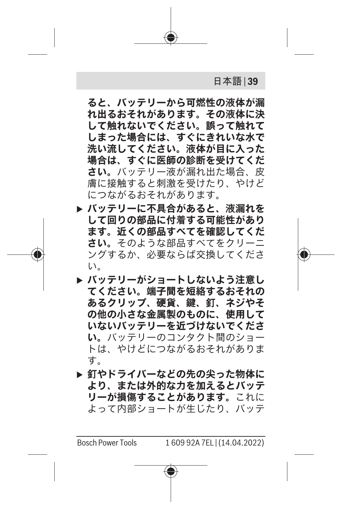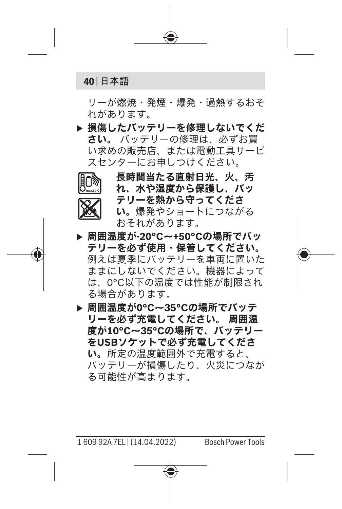**40** | 日本語

リーが燃焼・発煙・爆発・過熱するおそ れがあります。

**▶ 損傷したバッテリーを修理しないでくだ さい。** バッテリーの修理は、必ずお買 い求めの販売店、または電動工具サービ スセンターにお申しつけください。



**長時間当たる直射日光、火、汚 れ、水や湿度から保護し、バッ テリーを熱から守ってくださ い。**爆発やショートにつながる おそれがあります。

u **周囲温度が-20°C~+50°Cの場所でバッ テリーを必ず使用・保管してください。** 例えば夏季にバッテリーを車両に置いた ままにしないでください。機器によって は、0°C以下の温度では性能が制限され る場合があります。

**▶ 周囲温度が0°C~35°Cの場所でバッテ リーを必ず充電してください。 周囲温 度が10°C~35°Cの場所で、バッテリー をUSBソケットで必ず充電してくださ い。**所定の温度範囲外で充電すると、 バッテリーが損傷したり、火災につなが る可能性が高まります。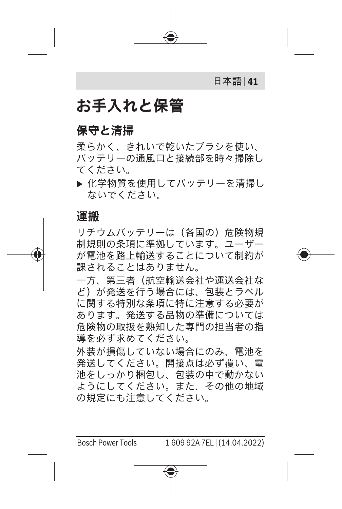

## **お手入れと保管**

#### **保守と清掃**

柔らかく、きれいで乾いたブラシを使い、 バッテリーの通風口と接続部を時々掃除し てください。

▶ 化学物質を使用してバッテリーを清掃し ないでください。

#### **運搬**

リチウムバッテリーは(各国の)危険物規 制規則の条項に準拠しています。ユーザー が電池を路上輸送することについて制約が 課されることはありません。

一方、第三者(航空輸送会社や運送会社な ど)が発送を行う場合には、包装とラベル に関する特別な条項に特に注意する必要が あります。発送する品物の準備については 危険物の取扱を熟知した専門の担当者の指 道を必ず求めてください。

外装が損傷していない場合にのみ、電池を 発送してください。開接点は必ず覆い、電 池をしっかり梱包し、包装の中で動かない ようにしてください。また、その他の地域 の規定にも注意してください。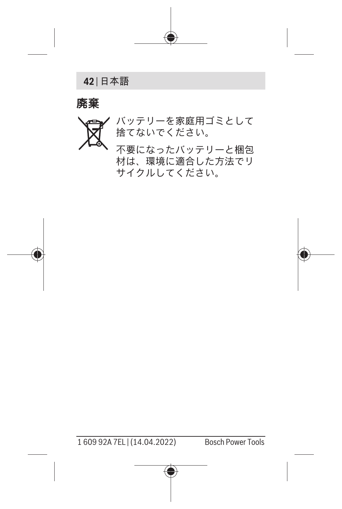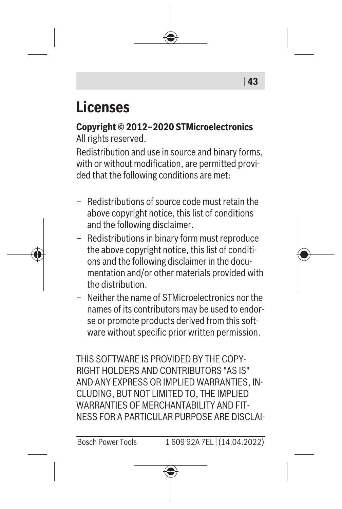# **Licenses**

**Copyright © 2012–2020 STMicroelectronics** All rights reserved.

Redistribution and use in source and binary forms, with or without modification, are permitted provided that the following conditions are met:

- Redistributions of source code must retain the above copyright notice, this list of conditions and the following disclaimer.
- Redistributions in binary form must reproduce the above copyright notice, this list of conditions and the following disclaimer in the documentation and/or other materials provided with the distribution.
- Neither the name of STMicroelectronics nor the names of its contributors may be used to endorse or promote products derived from this software without specific prior written permission.

THIS SOFTWARE IS PROVIDED BY THE COPY-RIGHT HOLDERS AND CONTRIBUTORS "AS IS" AND ANY EXPRESS OR IMPLIED WARRANTIES, IN-CLUDING, BUT NOT LIMITED TO, THE IMPLIED WARRANTIES OF MERCHANTABILITY AND FIT-NESS FOR A PARTICULAR PURPOSE ARE DISCLAI-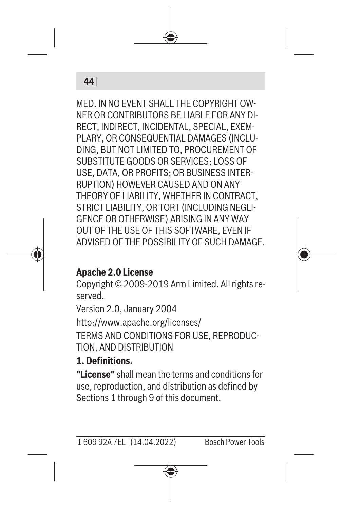

MED. IN NO EVENT SHALL THE COPYRIGHT OW-NER OR CONTRIBUTORS BE LIABLE FOR ANY DI-RECT, INDIRECT, INCIDENTAL, SPECIAL, EXEM-PLARY, OR CONSEQUENTIAL DAMAGES (INCLU-DING, BUT NOT LIMITED TO, PROCUREMENT OF SUBSTITUTE GOODS OR SERVICES; LOSS OF USE, DATA, OR PROFITS; OR BUSINESS INTER-RUPTION) HOWEVER CAUSED AND ON ANY THEORY OF LIABILITY, WHETHER IN CONTRACT, STRICT LIABILITY, OR TORT (INCLUDING NEGLI-GENCE OR OTHERWISE) ARISING IN ANY WAY OUT OF THE USE OF THIS SOFTWARE, EVEN IF ADVISED OF THE POSSIBILITY OF SUCH DAMAGE.



#### **Apache 2.0 License**

Copyright © 2009-2019 Arm Limited. All rights reserved.

Version 2.0, January 2004 <http://www.apache.org/licenses/> TERMS AND CONDITIONS FOR USE, REPRODUC-

TION, AND DISTRIBUTION

#### **1. Definitions.**

**"License"** shall mean the terms and conditions for use, reproduction, and distribution as defined by Sections 1 through 9 of this document.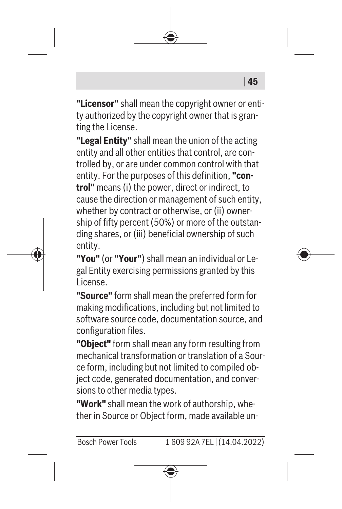**"Licensor"** shall mean the copyright owner or entity authorized by the copyright owner that is granting the License.

**"Legal Entity"** shall mean the union of the acting entity and all other entities that control, are controlled by, or are under common control with that entity. For the purposes of this definition, **"control"** means (i) the power, direct or indirect, to cause the direction or management of such entity, whether by contract or otherwise, or (ii) ownership of fifty percent (50%) or more of the outstanding shares, or (iii) beneficial ownership of such entity.

**"You"** (or **"Your"**) shall mean an individual or Legal Entity exercising permissions granted by this License.

**"Source"** form shall mean the preferred form for making modifications, including but not limited to software source code, documentation source, and configuration files.

**"Object"** form shall mean any form resulting from mechanical transformation or translation of a Source form, including but not limited to compiled object code, generated documentation, and conversions to other media types.

**"Work"** shall mean the work of authorship, whether in Source or Object form, made available un-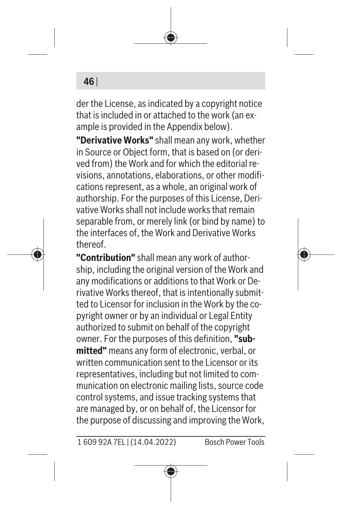#### **46** |

der the License, as indicated by a copyright notice that is included in or attached to the work (an example is provided in the Appendix below).

**"Derivative Works"** shall mean any work, whether in Source or Object form, that is based on (or derived from) the Work and for which the editorial revisions, annotations, elaborations, or other modifications represent, as a whole, an original work of authorship. For the purposes of this License, Derivative Works shall not include works that remain separable from, or merely link (or bind by name) to the interfaces of, the Work and Derivative Works thereof.

**"Contribution"** shall mean any work of authorship, including the original version of the Work and any modifications or additions to that Work or Derivative Works thereof, that is intentionally submitted to Licensor for inclusion in the Work by the copyright owner or by an individual or Legal Entity authorized to submit on behalf of the copyright owner. For the purposes of this definition, **"submitted"** means any form of electronic, verbal, or written communication sent to the Licensor or its representatives, including but not limited to communication on electronic mailing lists, source code control systems, and issue tracking systems that are managed by, or on behalf of, the Licensor for the purpose of discussing and improving the Work,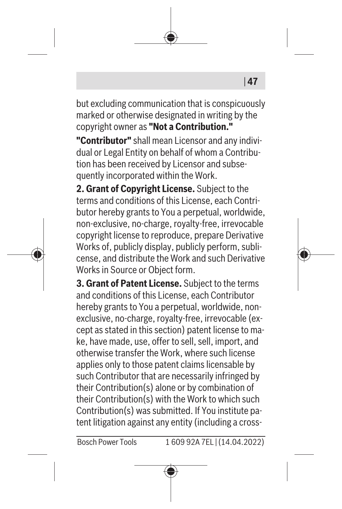but excluding communication that is conspicuously marked or otherwise designated in writing by the copyright owner as **"Not a Contribution."**

| **47**

**"Contributor"** shall mean Licensor and any individual or Legal Entity on behalf of whom a Contribution has been received by Licensor and subsequently incorporated within the Work.

**2. Grant of Copyright License.** Subject to the terms and conditions of this License, each Contributor hereby grants to You a perpetual, worldwide, non-exclusive, no-charge, royalty-free, irrevocable copyright license to reproduce, prepare Derivative Works of, publicly display, publicly perform, sublicense, and distribute the Work and such Derivative Works in Source or Object form.

**3. Grant of Patent License.** Subject to the terms and conditions of this License, each Contributor hereby grants to You a perpetual, worldwide, nonexclusive, no-charge, royalty-free, irrevocable (except as stated in this section) patent license to make, have made, use, offer to sell, sell, import, and otherwise transfer the Work, where such license applies only to those patent claims licensable by such Contributor that are necessarily infringed by their Contribution(s) alone or by combination of their Contribution(s) with the Work to which such Contribution(s) was submitted. If You institute patent litigation against any entity (including a cross-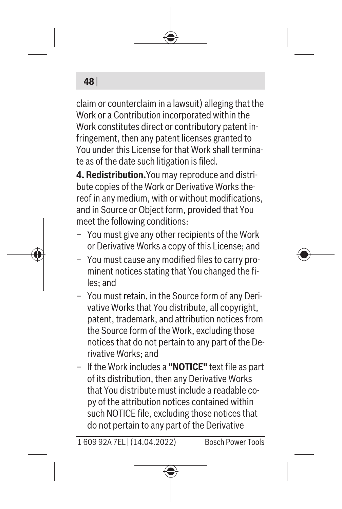#### **48** |

claim or counterclaim in a lawsuit) alleging that the Work or a Contribution incorporated within the Work constitutes direct or contributory patent infringement, then any patent licenses granted to You under this License for that Work shall terminate as of the date such litigation is filed.

**4. Redistribution.**You may reproduce and distribute copies of the Work or Derivative Works thereof in any medium, with or without modifications, and in Source or Object form, provided that You meet the following conditions:

- You must give any other recipients of the Work or Derivative Works a copy of this License; and
- You must cause any modified files to carry prominent notices stating that You changed the files; and
- You must retain, in the Source form of any Derivative Works that You distribute, all copyright, patent, trademark, and attribution notices from the Source form of the Work, excluding those notices that do not pertain to any part of the Derivative Works; and
- If the Work includes a **"NOTICE"** text file as part of its distribution, then any Derivative Works that You distribute must include a readable copy of the attribution notices contained within such NOTICE file, excluding those notices that do not pertain to any part of the Derivative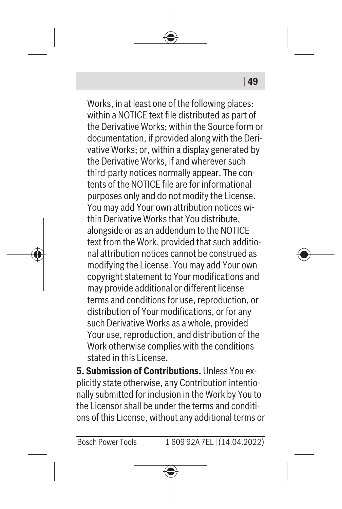Works, in at least one of the following places: within a NOTICE text file distributed as part of the Derivative Works; within the Source form or documentation, if provided along with the Derivative Works; or, within a display generated by the Derivative Works, if and wherever such third-party notices normally appear. The contents of the NOTICE file are for informational purposes only and do not modify the License. You may add Your own attribution notices within Derivative Works that You distribute, alongside or as an addendum to the NOTICE text from the Work, provided that such additional attribution notices cannot be construed as modifying the License. You may add Your own copyright statement to Your modifications and may provide additional or different license terms and conditions for use, reproduction, or distribution of Your modifications, or for any such Derivative Works as a whole, provided Your use, reproduction, and distribution of the Work otherwise complies with the conditions stated in this License.

| **49**

**5. Submission of Contributions.** Unless You explicitly state otherwise, any Contribution intentionally submitted for inclusion in the Work by You to the Licensor shall be under the terms and conditions of this License, without any additional terms or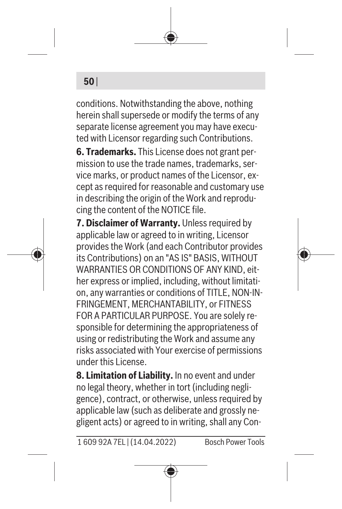#### **50** |

conditions. Notwithstanding the above, nothing herein shall supersede or modify the terms of any separate license agreement you may have executed with Licensor regarding such Contributions.

**6. Trademarks.** This License does not grant permission to use the trade names, trademarks, service marks, or product names of the Licensor, except as required for reasonable and customary use in describing the origin of the Work and reproducing the content of the NOTICE file.

**7. Disclaimer of Warranty.** Unless required by applicable law or agreed to in writing, Licensor provides the Work (and each Contributor provides its Contributions) on an "AS IS" BASIS, WITHOUT WARRANTIES OR CONDITIONS OF ANY KIND, either express or implied, including, without limitation, any warranties or conditions of TITLE, NON-IN-FRINGEMENT, MERCHANTABILITY, or FITNESS FOR A PARTICULAR PURPOSE. You are solely responsible for determining the appropriateness of using or redistributing the Work and assume any risks associated with Your exercise of permissions under this License.

**8. Limitation of Liability.** In no event and under no legal theory, whether in tort (including negligence), contract, or otherwise, unless required by applicable law (such as deliberate and grossly negligent acts) or agreed to in writing, shall any Con-